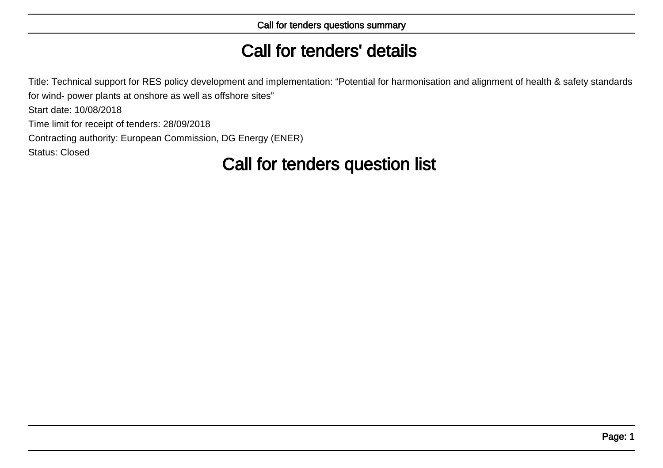# Call for tenders' details

Title: Technical support for RES policy development and implementation: "Potential for harmonisation and alignment of health & safety standardsfor wind- power plants at onshore as well as offshore sites"

Start date: 10/08/2018

Time limit for receipt of tenders: 28/09/2018

Contracting authority: European Commission, DG Energy (ENER)

Status: Closed

# Call for tenders question list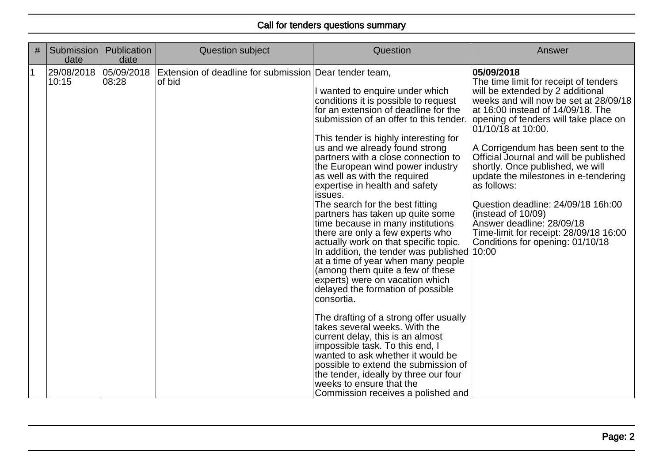| # | Submission<br>date  | Publication<br>date  | <b>Question subject</b>                                          | Question                                                                                                                                                                                                                                                                                                                                                                                                                                                                                                                                                                                                                                                                                                                                                                                                                                                                                                                                                                                                                                                                                                                                          | Answer                                                                                                                                                                                                                                                                                                                                                                                                                                                                                                                                                                                    |
|---|---------------------|----------------------|------------------------------------------------------------------|---------------------------------------------------------------------------------------------------------------------------------------------------------------------------------------------------------------------------------------------------------------------------------------------------------------------------------------------------------------------------------------------------------------------------------------------------------------------------------------------------------------------------------------------------------------------------------------------------------------------------------------------------------------------------------------------------------------------------------------------------------------------------------------------------------------------------------------------------------------------------------------------------------------------------------------------------------------------------------------------------------------------------------------------------------------------------------------------------------------------------------------------------|-------------------------------------------------------------------------------------------------------------------------------------------------------------------------------------------------------------------------------------------------------------------------------------------------------------------------------------------------------------------------------------------------------------------------------------------------------------------------------------------------------------------------------------------------------------------------------------------|
|   | 29/08/2018<br>10:15 | 05/09/2018<br>108:28 | Extension of deadline for submission Dear tender team,<br>of bid | I wanted to enquire under which<br>conditions it is possible to request<br>for an extension of deadline for the<br>submission of an offer to this tender.<br>This tender is highly interesting for<br>us and we already found strong<br>partners with a close connection to<br>the European wind power industry<br>as well as with the required<br>expertise in health and safety<br>issues.<br>The search for the best fitting<br>partners has taken up quite some<br>time because in many institutions<br>there are only a few experts who<br>actually work on that specific topic.<br>In addition, the tender was published $ 10:00$<br>at a time of year when many people<br>(among them quite a few of these<br>experts) were on vacation which<br>delayed the formation of possible<br>consortia.<br>The drafting of a strong offer usually<br>takes several weeks. With the<br>current delay, this is an almost<br>impossible task. To this end, I<br>wanted to ask whether it would be<br>possible to extend the submission of<br>the tender, ideally by three our four<br>weeks to ensure that the<br>Commission receives a polished and | 05/09/2018<br>The time limit for receipt of tenders<br>will be extended by 2 additional<br>weeks and will now be set at 28/09/18<br>at 16:00 instead of 14/09/18. The<br>opening of tenders will take place on<br>01/10/18 at 10:00.<br>A Corrigendum has been sent to the<br>Official Journal and will be published<br>shortly. Once published, we will<br>update the milestones in e-tendering<br>as follows:<br>Question deadline: 24/09/18 16h:00<br>(instead of $10/09$ )<br>Answer deadline: 28/09/18<br>Time-limit for receipt: 28/09/18 16:00<br>Conditions for opening: 01/10/18 |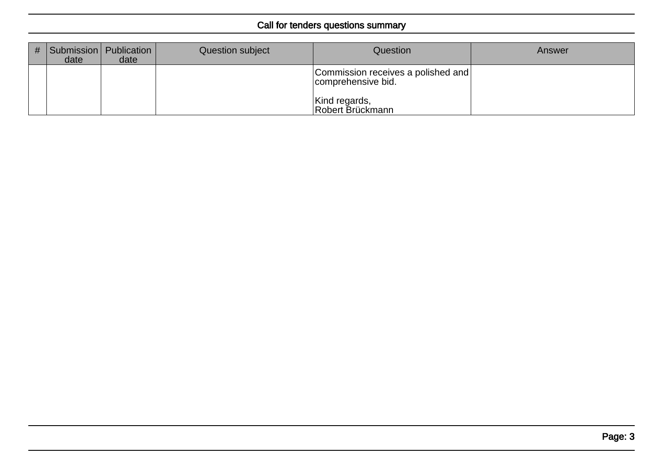| # | Submission   Publication  <br>date | date | Question subject | Question                                                 | Answer |
|---|------------------------------------|------|------------------|----------------------------------------------------------|--------|
|   |                                    |      |                  | Commission receives a polished and<br>comprehensive bid. |        |
|   |                                    |      |                  | Kind regards,<br>Robert Brückmann                        |        |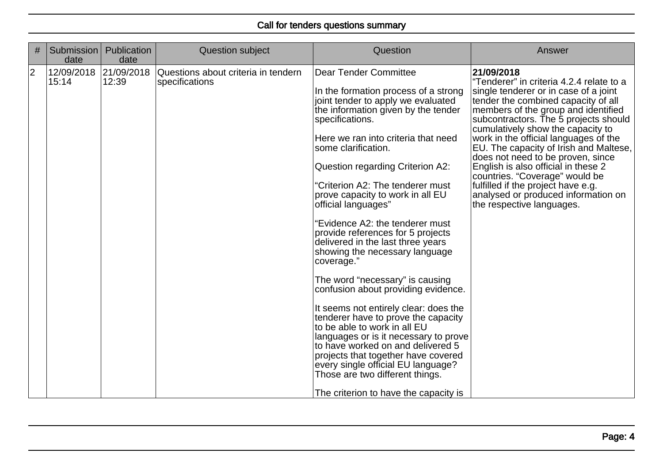| #           | Submission<br>date             | Publication<br>date | <b>Question subject</b>                               | Question                                                                                                                                                                                                                                                                                                                                                                                                                                                                                                                                                                                                                                                                                                                                                                                                                                                                                                                                                            | Answer                                                                                                                                                                                                                                                                                                                                                                                                                                                                                                                                                                 |
|-------------|--------------------------------|---------------------|-------------------------------------------------------|---------------------------------------------------------------------------------------------------------------------------------------------------------------------------------------------------------------------------------------------------------------------------------------------------------------------------------------------------------------------------------------------------------------------------------------------------------------------------------------------------------------------------------------------------------------------------------------------------------------------------------------------------------------------------------------------------------------------------------------------------------------------------------------------------------------------------------------------------------------------------------------------------------------------------------------------------------------------|------------------------------------------------------------------------------------------------------------------------------------------------------------------------------------------------------------------------------------------------------------------------------------------------------------------------------------------------------------------------------------------------------------------------------------------------------------------------------------------------------------------------------------------------------------------------|
| $ 2\rangle$ | 12/09/2018 21/09/2018<br>15:14 | 12:39               | Questions about criteria in tendern<br>specifications | <b>Dear Tender Committee</b><br>In the formation process of a strong<br>joint tender to apply we evaluated<br>the information given by the tender<br>specifications.<br>Here we ran into criteria that need<br>some clarification.<br>Question regarding Criterion A2:<br>"Criterion A2: The tenderer must<br>prove capacity to work in all EU<br>official languages"<br>"Evidence A2: the tenderer must<br>provide references for 5 projects<br>delivered in the last three years<br>showing the necessary language<br>coverage."<br>The word "necessary" is causing<br>confusion about providing evidence.<br>It seems not entirely clear: does the<br>tenderer have to prove the capacity<br>to be able to work in all EU<br>languages or is it necessary to prove<br>to have worked on and delivered 5<br>projects that together have covered<br>every single official EU language?<br>Those are two different things.<br>The criterion to have the capacity is | 21/09/2018<br>"Tenderer" in criteria 4.2.4 relate to a<br>single tenderer or in case of a joint<br>tender the combined capacity of all<br>members of the group and identified<br>subcontractors. The 5 projects should<br>cumulatively show the capacity to<br>work in the official languages of the<br>EU. The capacity of Irish and Maltese,<br>does not need to be proven, since<br>English is also official in these 2<br>countries. "Coverage" would be<br>fulfilled if the project have e.g.<br>analysed or produced information on<br>the respective languages. |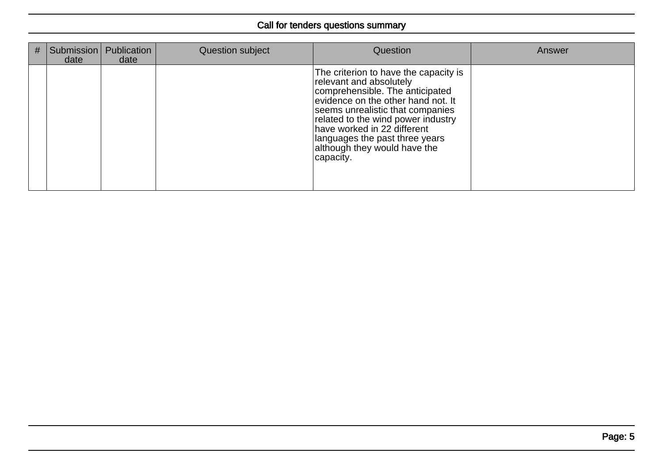| # | date | Submission   Publication<br>date | Question subject | Question                                                                                                                                                                                                                                                                                                                          | Answer |
|---|------|----------------------------------|------------------|-----------------------------------------------------------------------------------------------------------------------------------------------------------------------------------------------------------------------------------------------------------------------------------------------------------------------------------|--------|
|   |      |                                  |                  | The criterion to have the capacity is<br>relevant and absolutely<br>comprehensible. The anticipated<br>evidence on the other hand not. It<br>seems unrealistic that companies<br>related to the wind power industry<br>have worked in 22 different<br>languages the past three years<br>although they would have the<br>capacity. |        |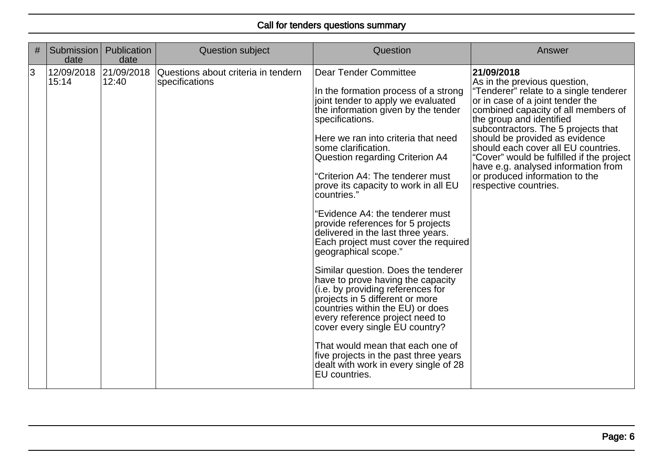| # | Submission<br>date             | Publication<br>date | <b>Question subject</b>                               | Question                                                                                                                                                                                                                                                                                                                                                                                                                                                                                                                                                                                                                                                                                                                                                                                                                                                                                                                                    | Answer                                                                                                                                                                                                                                                                                                                                                                                                                                                     |
|---|--------------------------------|---------------------|-------------------------------------------------------|---------------------------------------------------------------------------------------------------------------------------------------------------------------------------------------------------------------------------------------------------------------------------------------------------------------------------------------------------------------------------------------------------------------------------------------------------------------------------------------------------------------------------------------------------------------------------------------------------------------------------------------------------------------------------------------------------------------------------------------------------------------------------------------------------------------------------------------------------------------------------------------------------------------------------------------------|------------------------------------------------------------------------------------------------------------------------------------------------------------------------------------------------------------------------------------------------------------------------------------------------------------------------------------------------------------------------------------------------------------------------------------------------------------|
| 3 | 12/09/2018 21/09/2018<br>15:14 | 12:40               | Questions about criteria in tendern<br>specifications | Dear Tender Committee<br>In the formation process of a strong<br>joint tender to apply we evaluated<br>the information given by the tender<br>specifications.<br>Here we ran into criteria that need<br>some clarification.<br>Question regarding Criterion A4<br>"Criterion A4: The tenderer must<br>prove its capacity to work in all EU<br>countries."<br>"Evidence A4: the tenderer must<br>provide references for 5 projects<br>delivered in the last three years.<br>Each project must cover the required<br>geographical scope."<br>Similar question. Does the tenderer<br>have to prove having the capacity<br>(i.e. by providing references for<br>projects in 5 different or more<br>countries within the EU) or does<br>every reference project need to<br>cover every single EU country?<br>That would mean that each one of<br>five projects in the past three years<br>dealt with work in every single of 28<br>EU countries. | 21/09/2018<br>As in the previous question,<br>"Tenderer" relate to a single tenderer<br>or in case of a joint tender the<br>combined capacity of all members of<br>the group and identified<br>subcontractors. The 5 projects that<br>should be provided as evidence<br>should each cover all EU countries.<br>'Cover" would be fulfilled if the project<br>have e.g. analysed information from<br>or produced information to the<br>respective countries. |